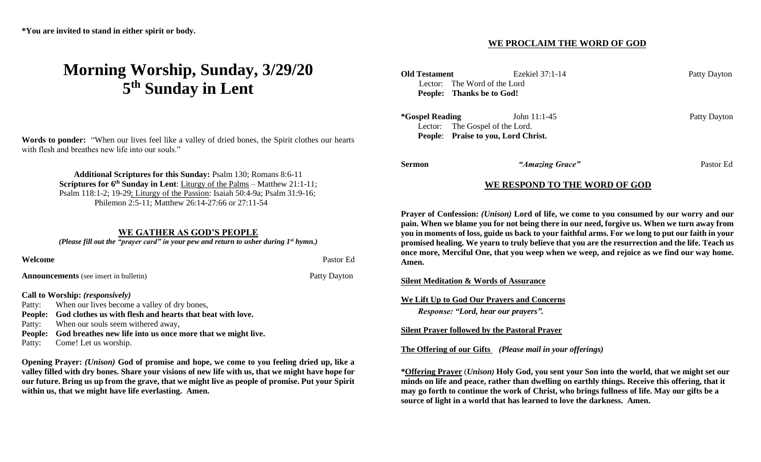# **Morning Worship, Sunday, 3/29/20 5 th Sunday in Lent**

**Words to ponder:** "When our lives feel like a valley of dried bones, the Spirit clothes our hearts with flesh and breathes new life into our souls."

> **Additional Scriptures for this Sunday:** Psalm 130; Romans 8:6-11 **Scriptures for 6<sup>th</sup> Sunday in Lent**: Liturgy of the Palms – Matthew 21:1-11; Psalm 118:1-2; 19-29; Liturgy of the Passion: Isaiah 50:4-9a; Psalm 31:9-16; Philemon 2:5-11; Matthew 26:14-27:66 or 27:11-54

## **WE GATHER AS GOD'S PEOPLE**

*(Please fill out the "prayer card" in your pew and return to usher during 1st hymn.)*

**Welcome** Pastor Ed **Announcements** (see insert in bulletin) Patty Dayton

#### **Call to Worship:** *(responsively)*

Patty: When our lives become a valley of dry bones,

**People: God clothes us with flesh and hearts that beat with love.**

Patty: When our souls seem withered away,

**People: God breathes new life into us once more that we might live.**

Patty: Come! Let us worship.

**Opening Prayer:** *(Unison)* **God of promise and hope, we come to you feeling dried up, like a valley filled with dry bones. Share your visions of new life with us, that we might have hope for our future. Bring us up from the grave, that we might live as people of promise. Put your Spirit within us, that we might have life everlasting. Amen.** 

### **WE PROCLAIM THE WORD OF GOD**

| <b>Old Testament</b>                            | Ezekiel $37:1-14$<br>Lector: The Word of the Lord<br>People: Thanks be to God!          | Patty Dayton |
|-------------------------------------------------|-----------------------------------------------------------------------------------------|--------------|
| <i><b>*Gospel Reading</b></i><br><b>People:</b> | John $11:1-45$<br>Lector: The Gospel of the Lord.<br><b>Praise to you, Lord Christ.</b> | Patty Dayton |
| Sermon                                          | "Amazing Grace"                                                                         | Pastor Ed    |
|                                                 | WE RESPOND TO THE WORD OF GOD                                                           |              |

**Prayer of Confession:** *(Unison)* **Lord of life, we come to you consumed by our worry and our pain. When we blame you for not being there in our need, forgive us. When we turn away from you in moments of loss, guide us back to your faithful arms. For we long to put our faith in your promised healing. We yearn to truly believe that you are the resurrection and the life. Teach us once more, Merciful One, that you weep when we weep, and rejoice as we find our way home. Amen.**

#### **Silent Meditation & Words of Assurance**

**We Lift Up to God Our Prayers and Concerns**

*Response: "Lord, hear our prayers".*

**Silent Prayer followed by the Pastoral Prayer**

**The Offering of our Gifts** *(Please mail in your offerings)* 

**\*Offering Prayer** (*Unison)* **Holy God, you sent your Son into the world, that we might set our minds on life and peace, rather than dwelling on earthly things. Receive this offering, that it may go forth to continue the work of Christ, who brings fullness of life. May our gifts be a source of light in a world that has learned to love the darkness. Amen.**